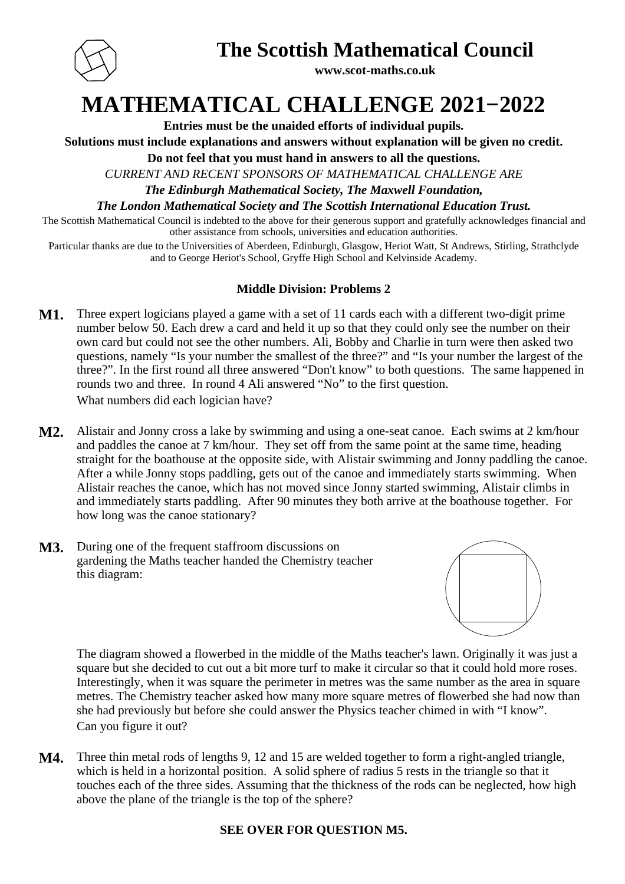

## **The Scottish Mathematical Council**

**www.scot-maths.co.uk**

# **MATHEMATICAL CHALLENGE 2021−2022**

**Entries must be the unaided efforts of individual pupils.**

**Solutions must include explanations and answers without explanation will be given no credit.**

**Do not feel that you must hand in answers to all the questions.**

*CURRENT AND RECENT SPONSORS OF MATHEMATICAL CHALLENGE ARE*

*The Edinburgh Mathematical Society, The Maxwell Foundation,*

*The London Mathematical Society and The Scottish International Education Trust.*

The Scottish Mathematical Council is indebted to the above for their generous support and gratefully acknowledges financial and other assistance from schools, universities and education authorities.

Particular thanks are due to the Universities of Aberdeen, Edinburgh, Glasgow, Heriot Watt, St Andrews, Stirling, Strathclyde and to George Heriot's School, Gryffe High School and Kelvinside Academy.

## **Middle Division: Problems 2**

- **M1.** Three expert logicians played a game with a set of 11 cards each with a different two-digit prime number below 50. Each drew a card and held it up so that they could only see the number on their own card but could not see the other numbers. Ali, Bobby and Charlie in turn were then asked two questions, namely "Is your number the smallest of the three?" and "Is your number the largest of the three?". In the first round all three answered "Don't know" to both questions. The same happened in rounds two and three. In round 4 Ali answered "No" to the first question. What numbers did each logician have?
- **M2.** Alistair and Jonny cross a lake by swimming and using a one-seat canoe. Each swims at 2 km/hour and paddles the canoe at 7 km/hour. They set off from the same point at the same time, heading straight for the boathouse at the opposite side, with Alistair swimming and Jonny paddling the canoe. After a while Jonny stops paddling, gets out of the canoe and immediately starts swimming. When Alistair reaches the canoe, which has not moved since Jonny started swimming, Alistair climbs in and immediately starts paddling. After 90 minutes they both arrive at the boathouse together. For how long was the canoe stationary?
- **M3.** During one of the frequent staffroom discussions on gardening the Maths teacher handed the Chemistry teacher this diagram:



The diagram showed a flowerbed in the middle of the Maths teacher's lawn. Originally it was just a square but she decided to cut out a bit more turf to make it circular so that it could hold more roses. Interestingly, when it was square the perimeter in metres was the same number as the area in square metres. The Chemistry teacher asked how many more square metres of flowerbed she had now than she had previously but before she could answer the Physics teacher chimed in with "I know". Can you figure it out?

**M4.** Three thin metal rods of lengths 9, 12 and 15 are welded together to form a right-angled triangle, which is held in a horizontal position. A solid sphere of radius 5 rests in the triangle so that it touches each of the three sides. Assuming that the thickness of the rods can be neglected, how high above the plane of the triangle is the top of the sphere?

## **SEE OVER FOR QUESTION M5.**